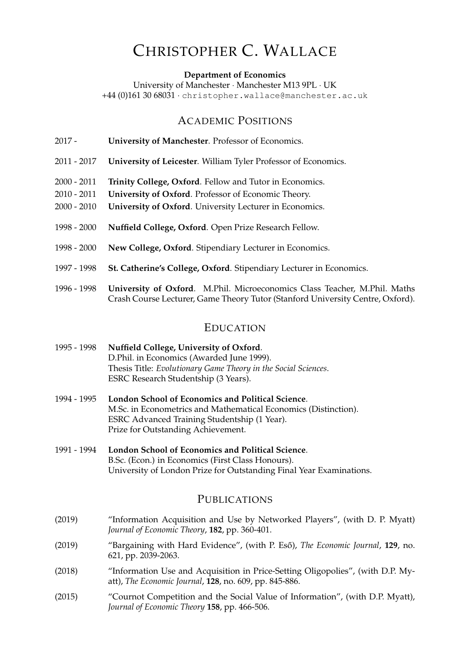# CHRISTOPHER C. WALLACE

**Department of Economics**

University of Manchester · Manchester M13 9PL · UK +44 (0)161 30 68031 · christopher.wallace@manchester.ac.uk

## ACADEMIC POSITIONS

- 2017 **University of Manchester**. Professor of Economics.
- 2011 2017 **University of Leicester**. William Tyler Professor of Economics.
- 2000 2011 **Trinity College, Oxford**. Fellow and Tutor in Economics.
- 2010 2011 **University of Oxford**. Professor of Economic Theory.
- 2000 2010 **University of Oxford**. University Lecturer in Economics.
- 1998 2000 **Nuffield College, Oxford**. Open Prize Research Fellow.
- 1998 2000 **New College, Oxford**. Stipendiary Lecturer in Economics.
- 1997 1998 **St. Catherine's College, Oxford**. Stipendiary Lecturer in Economics.
- 1996 1998 **University of Oxford**. M.Phil. Microeconomics Class Teacher, M.Phil. Maths Crash Course Lecturer, Game Theory Tutor (Stanford University Centre, Oxford).

#### EDUCATION

- 1995 1998 **Nuffield College, University of Oxford**. D.Phil. in Economics (Awarded June 1999). Thesis Title: *Evolutionary Game Theory in the Social Sciences*. ESRC Research Studentship (3 Years).
- 1994 1995 **London School of Economics and Political Science**. M.Sc. in Econometrics and Mathematical Economics (Distinction). ESRC Advanced Training Studentship (1 Year). Prize for Outstanding Achievement.
- 1991 1994 **London School of Economics and Political Science**. B.Sc. (Econ.) in Economics (First Class Honours). University of London Prize for Outstanding Final Year Examinations.

## PUBLIC ATIONS

- (2019) "Information Acquisition and Use by Networked Players", (with D. P. Myatt) *Journal of Economic Theory*, **182**, pp. 360-401.
- (2019) "Bargaining with Hard Evidence", (with P. Eső), The Economic Journal, 129, no. 621, pp. 2039-2063.
- (2018) "Information Use and Acquisition in Price-Setting Oligopolies", (with D.P. Myatt), *The Economic Journal*, **128**, no. 609, pp. 845-886.
- (2015) "Cournot Competition and the Social Value of Information", (with D.P. Myatt), *Journal of Economic Theory* **158**, pp. 466-506.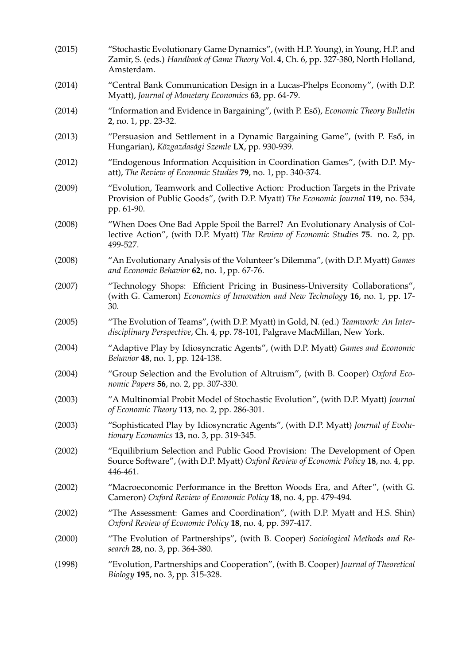| (2015) | "Stochastic Evolutionary Game Dynamics", (with H.P. Young), in Young, H.P. and<br>Zamir, S. (eds.) Handbook of Game Theory Vol. 4, Ch. 6, pp. 327-380, North Holland,<br>Amsterdam. |
|--------|-------------------------------------------------------------------------------------------------------------------------------------------------------------------------------------|
| (2014) | "Central Bank Communication Design in a Lucas-Phelps Economy", (with D.P.<br>Myatt), Journal of Monetary Economics 63, pp. 64-79.                                                   |
| (2014) | "Information and Evidence in Bargaining", (with P. Eső), Economic Theory Bulletin<br>2, no. 1, pp. 23-32.                                                                           |
| (2013) | "Persuasion and Settlement in a Dynamic Bargaining Game", (with P. Eső, in<br>Hungarian), Közgazdasági Szemle LX, pp. 930-939.                                                      |
| (2012) | "Endogenous Information Acquisition in Coordination Games", (with D.P. My-<br>att), The Review of Economic Studies 79, no. 1, pp. 340-374.                                          |
| (2009) | "Evolution, Teamwork and Collective Action: Production Targets in the Private<br>Provision of Public Goods", (with D.P. Myatt) The Economic Journal 119, no. 534,<br>pp. 61-90.     |
| (2008) | "When Does One Bad Apple Spoil the Barrel? An Evolutionary Analysis of Col-<br>lective Action", (with D.P. Myatt) The Review of Economic Studies 75. no. 2, pp.<br>499-527.         |
| (2008) | "An Evolutionary Analysis of the Volunteer's Dilemma", (with D.P. Myatt) Games<br>and Economic Behavior 62, no. 1, pp. 67-76.                                                       |
| (2007) | "Technology Shops: Efficient Pricing in Business-University Collaborations",<br>(with G. Cameron) Economics of Innovation and New Technology 16, no. 1, pp. 17-<br>30.              |
| (2005) | "The Evolution of Teams", (with D.P. Myatt) in Gold, N. (ed.) Teamwork: An Inter-<br>disciplinary Perspective, Ch. 4, pp. 78-101, Palgrave MacMillan, New York.                     |
| (2004) | "Adaptive Play by Idiosyncratic Agents", (with D.P. Myatt) Games and Economic<br>Behavior 48, no. 1, pp. 124-138.                                                                   |
| (2004) | "Group Selection and the Evolution of Altruism", (with B. Cooper) Oxford Eco-<br>nomic Papers 56, no. 2, pp. 307-330.                                                               |
| (2003) | "A Multinomial Probit Model of Stochastic Evolution", (with D.P. Myatt) Journal<br>of Economic Theory 113, no. 2, pp. 286-301.                                                      |
| (2003) | "Sophisticated Play by Idiosyncratic Agents", (with D.P. Myatt) Journal of Evolu-<br>tionary Economics 13, no. 3, pp. 319-345.                                                      |
| (2002) | "Equilibrium Selection and Public Good Provision: The Development of Open<br>Source Software", (with D.P. Myatt) Oxford Review of Economic Policy 18, no. 4, pp.<br>446-461.        |
| (2002) | "Macroeconomic Performance in the Bretton Woods Era, and After", (with G.<br>Cameron) Oxford Review of Economic Policy 18, no. 4, pp. 479-494.                                      |
| (2002) | "The Assessment: Games and Coordination", (with D.P. Myatt and H.S. Shin)<br>Oxford Review of Economic Policy 18, no. 4, pp. 397-417.                                               |
| (2000) | "The Evolution of Partnerships", (with B. Cooper) Sociological Methods and Re-<br>search 28, no. 3, pp. 364-380.                                                                    |
| (1998) | "Evolution, Partnerships and Cooperation", (with B. Cooper) Journal of Theoretical<br><i>Biology</i> 195, no. 3, pp. 315-328.                                                       |